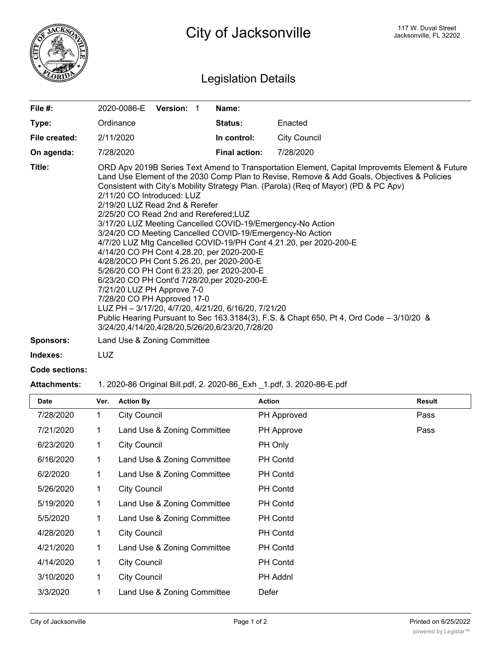

## Legislation Details

| File $#$ :       | Version: 1<br>2020-0086-E                                                                                                                                                                                                                                                                                                                                                                                                                                                                                                                                                                                                                                                                                                                                                                                                                                                                                                                                                                               | Name:                |                     |  |
|------------------|---------------------------------------------------------------------------------------------------------------------------------------------------------------------------------------------------------------------------------------------------------------------------------------------------------------------------------------------------------------------------------------------------------------------------------------------------------------------------------------------------------------------------------------------------------------------------------------------------------------------------------------------------------------------------------------------------------------------------------------------------------------------------------------------------------------------------------------------------------------------------------------------------------------------------------------------------------------------------------------------------------|----------------------|---------------------|--|
| Type:            | Ordinance                                                                                                                                                                                                                                                                                                                                                                                                                                                                                                                                                                                                                                                                                                                                                                                                                                                                                                                                                                                               | <b>Status:</b>       | Enacted             |  |
| File created:    | 2/11/2020                                                                                                                                                                                                                                                                                                                                                                                                                                                                                                                                                                                                                                                                                                                                                                                                                                                                                                                                                                                               | In control:          | <b>City Council</b> |  |
| On agenda:       | 7/28/2020                                                                                                                                                                                                                                                                                                                                                                                                                                                                                                                                                                                                                                                                                                                                                                                                                                                                                                                                                                                               | <b>Final action:</b> | 7/28/2020           |  |
| Title:           | ORD Apv 2019B Series Text Amend to Transportation Element, Capital Improvemts Element & Future<br>Land Use Element of the 2030 Comp Plan to Revise, Remove & Add Goals, Objectives & Policies<br>Consistent with City's Mobility Strategy Plan. (Parola) (Req of Mayor) (PD & PC Apv)<br>2/11/20 CO Introduced: LUZ<br>2/19/20 LUZ Read 2nd & Rerefer<br>2/25/20 CO Read 2nd and Rerefered;LUZ<br>3/17/20 LUZ Meeting Cancelled COVID-19/Emergency-No Action<br>3/24/20 CO Meeting Cancelled COVID-19/Emergency-No Action<br>4/7/20 LUZ Mtg Cancelled COVID-19/PH Cont 4.21.20, per 2020-200-E<br>4/14/20 CO PH Cont 4.28.20, per 2020-200-E<br>4/28/20CO PH Cont 5.26.20, per 2020-200-E<br>5/26/20 CO PH Cont 6.23.20, per 2020-200-E<br>6/23/20 CO PH Cont'd 7/28/20, per 2020-200-E<br>7/21/20 LUZ PH Approve 7-0<br>7/28/20 CO PH Approved 17-0<br>LUZ PH - 3/17/20, 4/7/20, 4/21/20, 6/16/20, 7/21/20<br>Public Hearing Pursuant to Sec 163.3184(3), F.S. & Chapt 650, Pt 4, Ord Code – 3/10/20 & |                      |                     |  |
| <b>Sponsors:</b> | Land Use & Zoning Committee                                                                                                                                                                                                                                                                                                                                                                                                                                                                                                                                                                                                                                                                                                                                                                                                                                                                                                                                                                             |                      |                     |  |

**Indexes:** LUZ

## **Code sections:**

## **Attachments:** 1. 2020-86 Original Bill.pdf, 2. 2020-86\_Exh \_1.pdf, 3. 2020-86-E.pdf

| <b>Date</b> | Ver. | <b>Action By</b>            | <b>Action</b>      | <b>Result</b> |
|-------------|------|-----------------------------|--------------------|---------------|
| 7/28/2020   | 1    | <b>City Council</b>         | <b>PH Approved</b> | Pass          |
| 7/21/2020   | 1    | Land Use & Zoning Committee | PH Approve         | Pass          |
| 6/23/2020   | 1    | <b>City Council</b>         | PH Only            |               |
| 6/16/2020   | 1    | Land Use & Zoning Committee | <b>PH Contd</b>    |               |
| 6/2/2020    | 1    | Land Use & Zoning Committee | <b>PH Contd</b>    |               |
| 5/26/2020   | 1    | <b>City Council</b>         | PH Contd           |               |
| 5/19/2020   | 1    | Land Use & Zoning Committee | <b>PH Contd</b>    |               |
| 5/5/2020    | 1    | Land Use & Zoning Committee | PH Contd           |               |
| 4/28/2020   | 1    | <b>City Council</b>         | <b>PH Contd</b>    |               |
| 4/21/2020   | 1    | Land Use & Zoning Committee | <b>PH Contd</b>    |               |
| 4/14/2020   | 1    | <b>City Council</b>         | PH Contd           |               |
| 3/10/2020   | 1    | <b>City Council</b>         | PH Addnl           |               |
| 3/3/2020    | 1    | Land Use & Zoning Committee | Defer              |               |